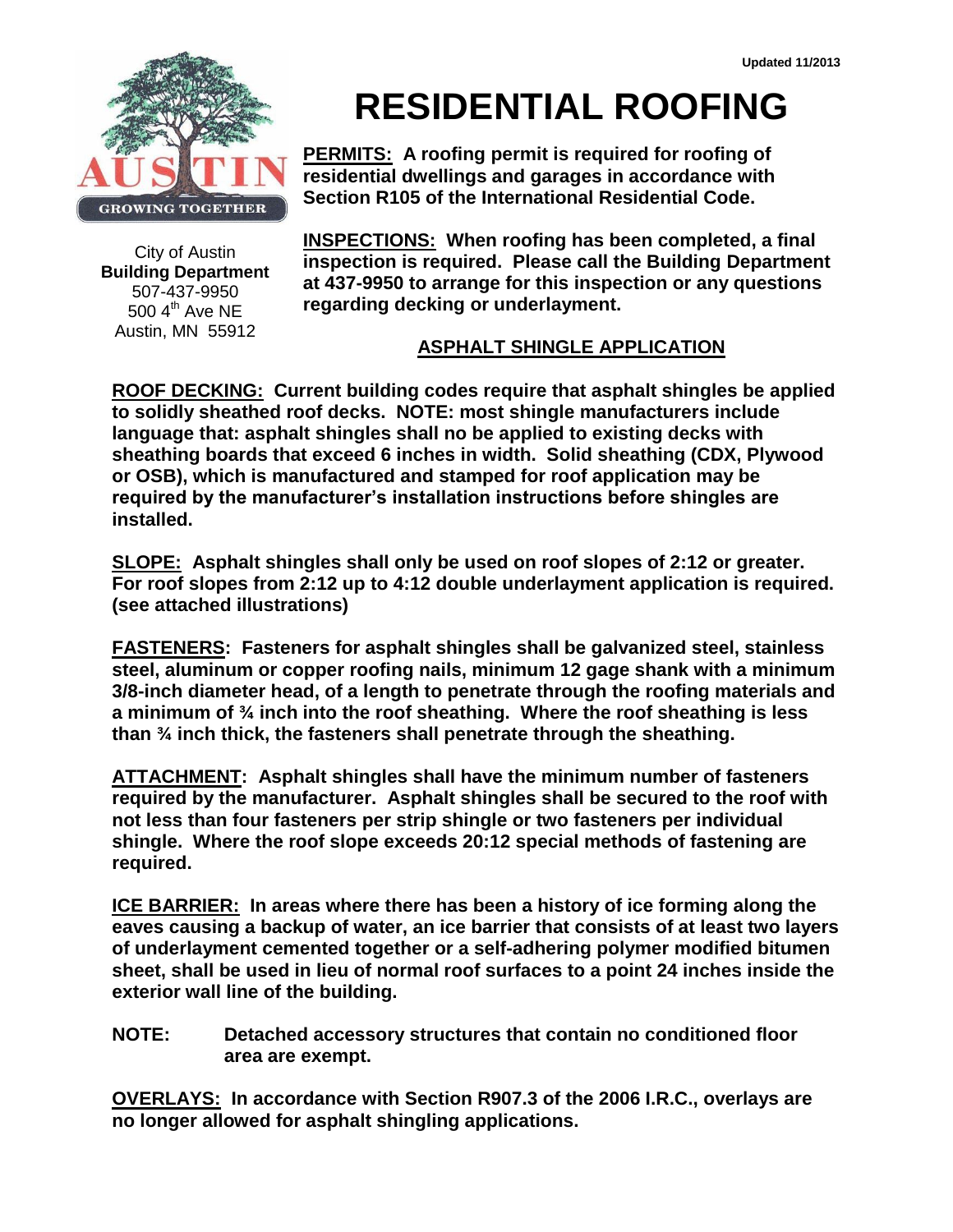

City of Austin **Building Department** 507-437-9950  $500$  4<sup>th</sup> Ave NE Austin, MN 55912

## **RESIDENTIAL ROOFING**

**PERMITS: A roofing permit is required for roofing of residential dwellings and garages in accordance with Section R105 of the International Residential Code.**

**INSPECTIONS: When roofing has been completed, a final inspection is required. Please call the Building Department at 437-9950 to arrange for this inspection or any questions regarding decking or underlayment.**

## **ASPHALT SHINGLE APPLICATION**

**ROOF DECKING: Current building codes require that asphalt shingles be applied to solidly sheathed roof decks. NOTE: most shingle manufacturers include language that: asphalt shingles shall no be applied to existing decks with sheathing boards that exceed 6 inches in width. Solid sheathing (CDX, Plywood or OSB), which is manufactured and stamped for roof application may be required by the manufacturer's installation instructions before shingles are installed.** 

**SLOPE: Asphalt shingles shall only be used on roof slopes of 2:12 or greater. For roof slopes from 2:12 up to 4:12 double underlayment application is required. (see attached illustrations)**

**FASTENERS: Fasteners for asphalt shingles shall be galvanized steel, stainless steel, aluminum or copper roofing nails, minimum 12 gage shank with a minimum 3/8-inch diameter head, of a length to penetrate through the roofing materials and a minimum of ¾ inch into the roof sheathing. Where the roof sheathing is less than ¾ inch thick, the fasteners shall penetrate through the sheathing.** 

**ATTACHMENT: Asphalt shingles shall have the minimum number of fasteners required by the manufacturer. Asphalt shingles shall be secured to the roof with not less than four fasteners per strip shingle or two fasteners per individual shingle. Where the roof slope exceeds 20:12 special methods of fastening are required.**

**ICE BARRIER: In areas where there has been a history of ice forming along the eaves causing a backup of water, an ice barrier that consists of at least two layers of underlayment cemented together or a self-adhering polymer modified bitumen sheet, shall be used in lieu of normal roof surfaces to a point 24 inches inside the exterior wall line of the building.**

**NOTE: Detached accessory structures that contain no conditioned floor area are exempt.**

**OVERLAYS: In accordance with Section R907.3 of the 2006 I.R.C., overlays are no longer allowed for asphalt shingling applications.**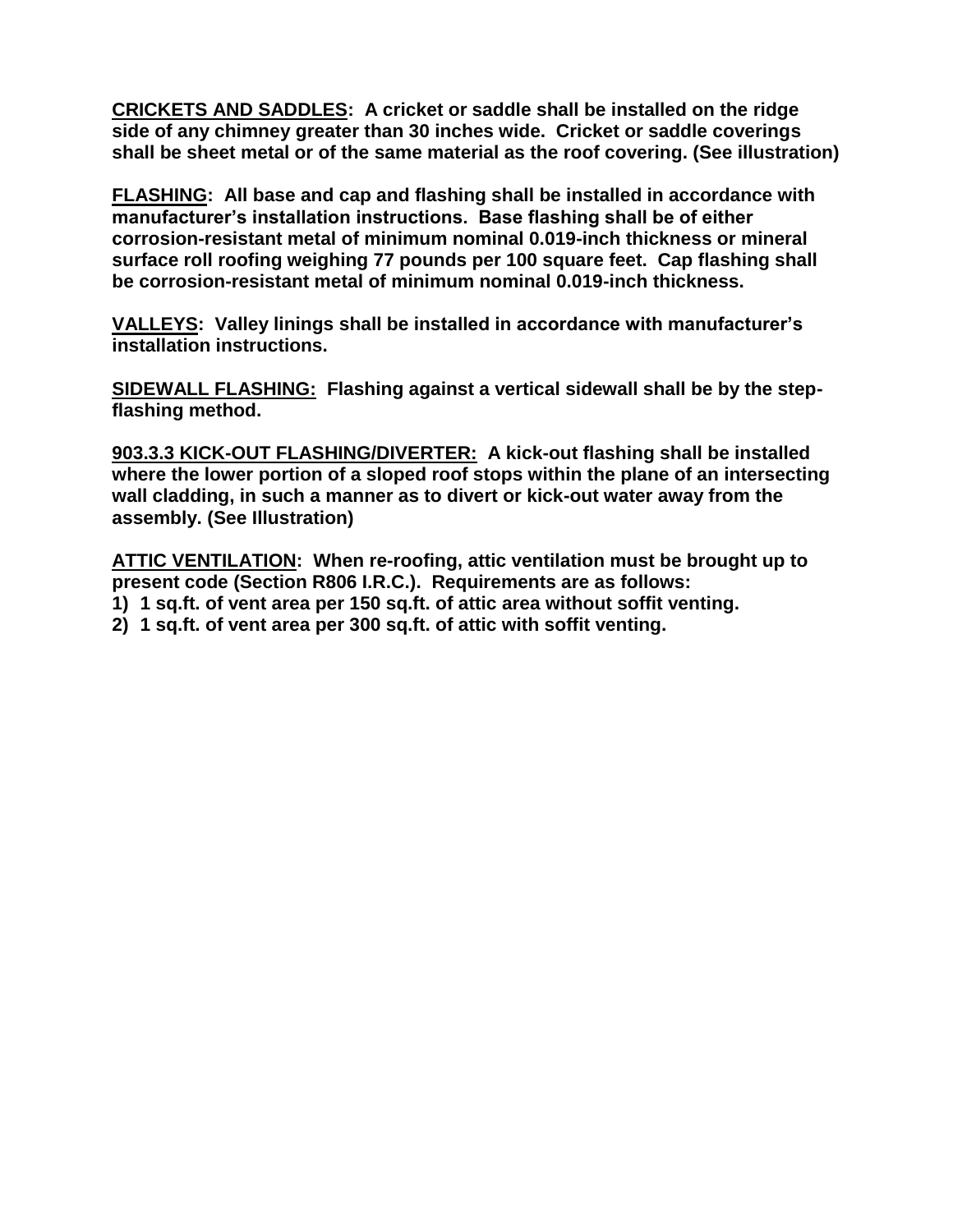**CRICKETS AND SADDLES: A cricket or saddle shall be installed on the ridge side of any chimney greater than 30 inches wide. Cricket or saddle coverings shall be sheet metal or of the same material as the roof covering. (See illustration)**

**FLASHING: All base and cap and flashing shall be installed in accordance with manufacturer's installation instructions. Base flashing shall be of either corrosion-resistant metal of minimum nominal 0.019-inch thickness or mineral surface roll roofing weighing 77 pounds per 100 square feet. Cap flashing shall be corrosion-resistant metal of minimum nominal 0.019-inch thickness.** 

**VALLEYS: Valley linings shall be installed in accordance with manufacturer's installation instructions.**

**SIDEWALL FLASHING: Flashing against a vertical sidewall shall be by the stepflashing method.**

**903.3.3 KICK-OUT FLASHING/DIVERTER: A kick-out flashing shall be installed where the lower portion of a sloped roof stops within the plane of an intersecting wall cladding, in such a manner as to divert or kick-out water away from the assembly. (See Illustration)**

**ATTIC VENTILATION: When re-roofing, attic ventilation must be brought up to present code (Section R806 I.R.C.). Requirements are as follows:** 

- **1) 1 sq.ft. of vent area per 150 sq.ft. of attic area without soffit venting.**
- **2) 1 sq.ft. of vent area per 300 sq.ft. of attic with soffit venting.**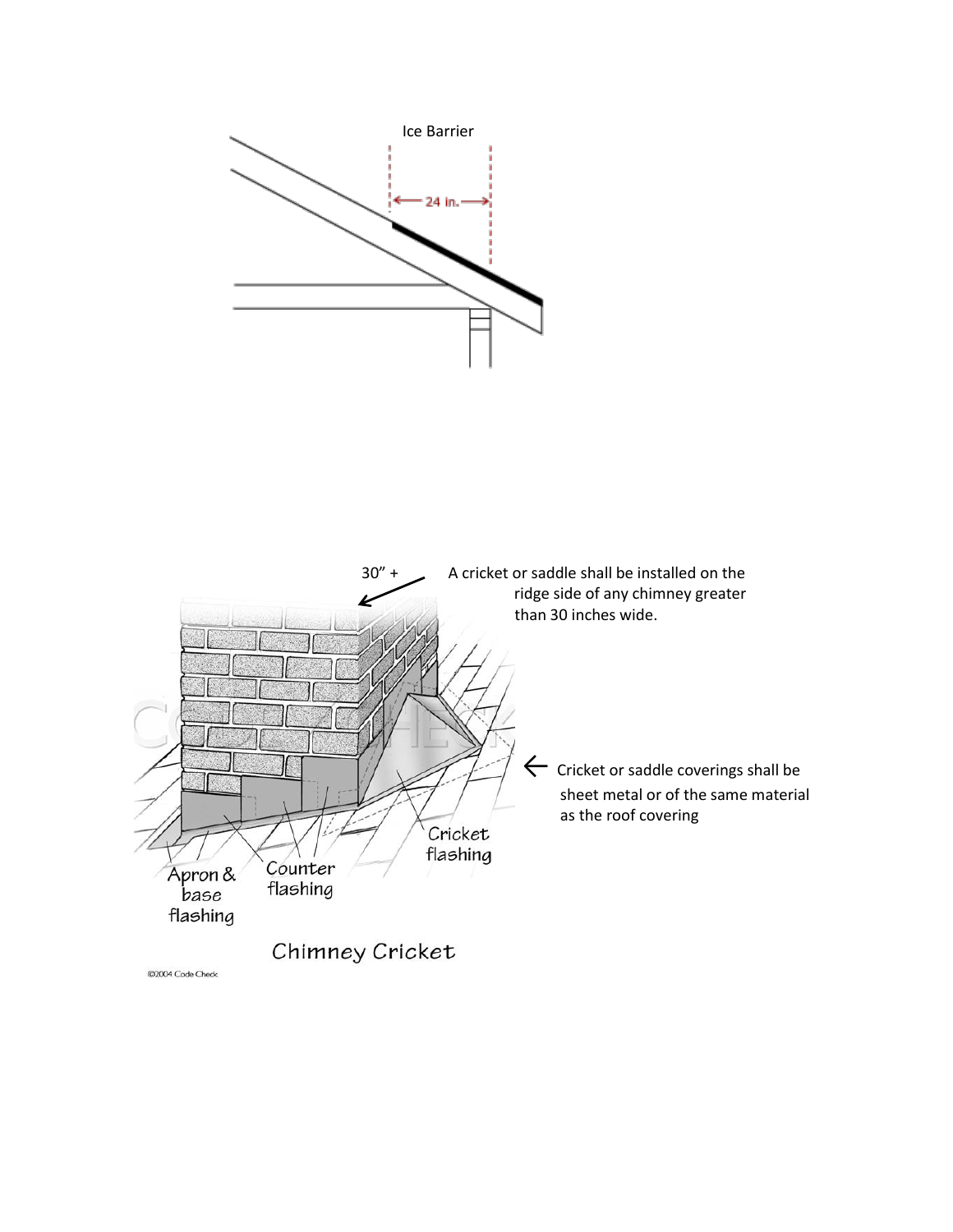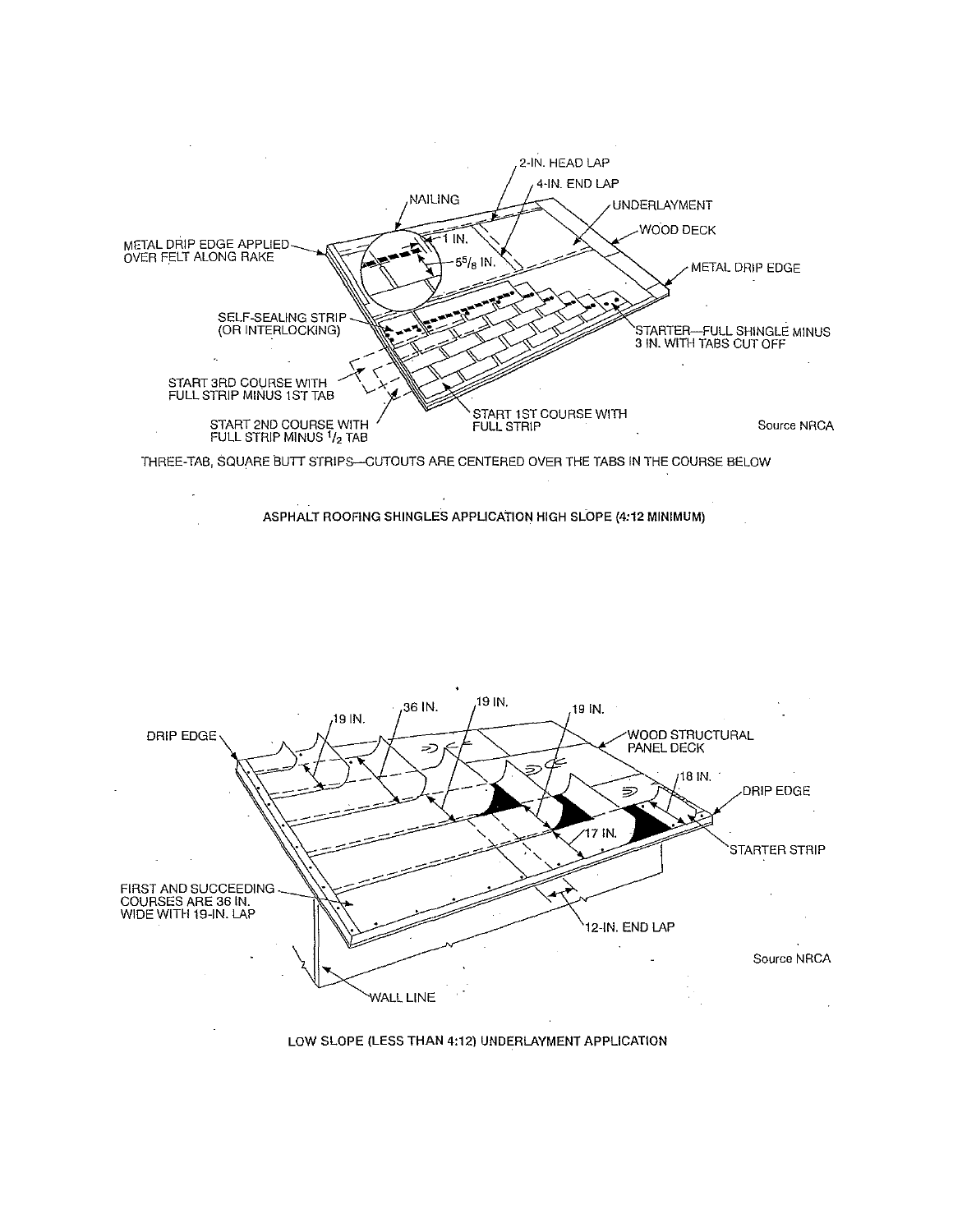

## LOW SLOPE (LESS THAN 4:12) UNDERLAYMENT APPLICATION